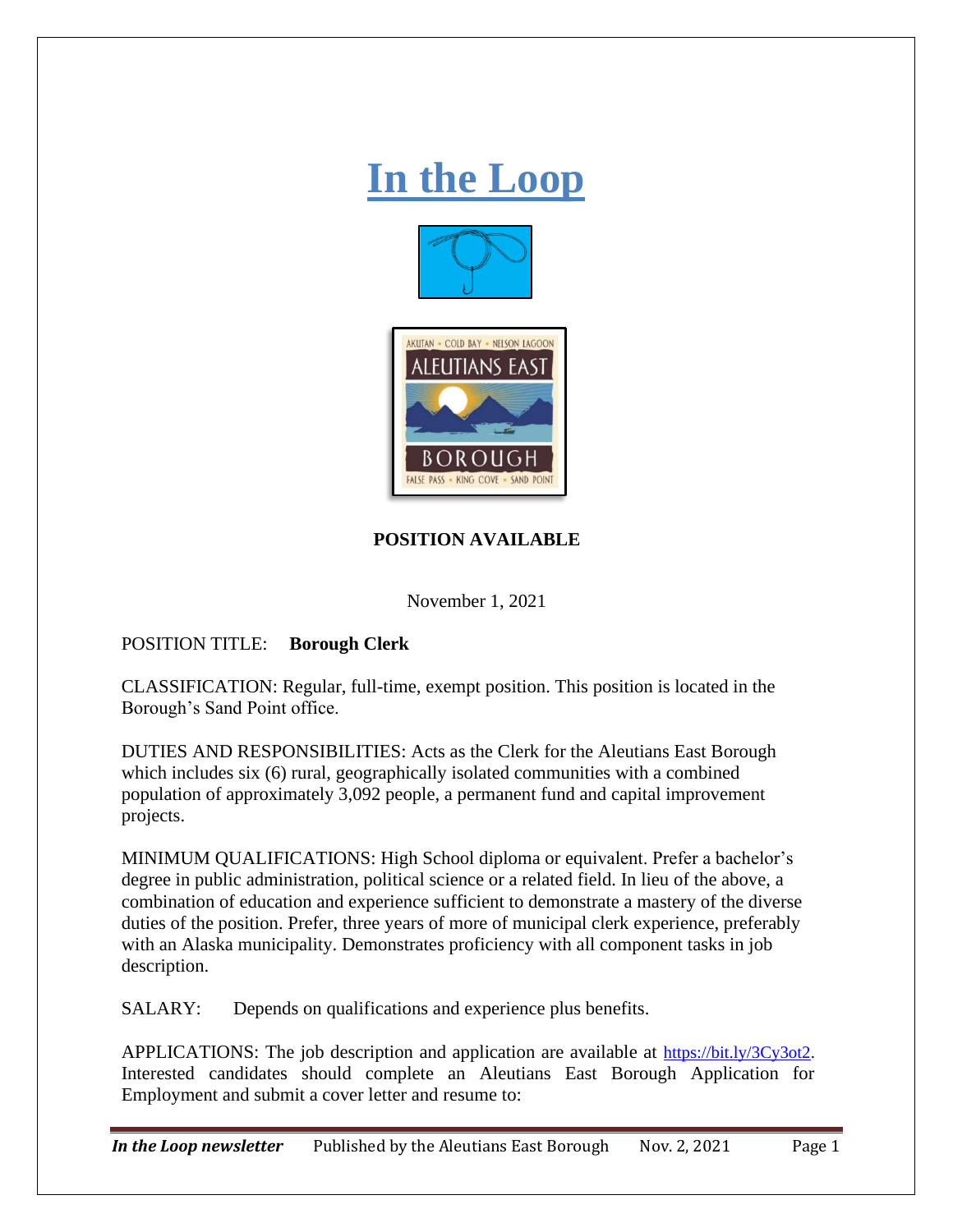# **In the Loop**





## **POSITION AVAILABLE**

November 1, 2021

## POSITION TITLE: **Borough Clerk**

CLASSIFICATION: Regular, full-time, exempt position. This position is located in the Borough's Sand Point office.

DUTIES AND RESPONSIBILITIES: Acts as the Clerk for the Aleutians East Borough which includes six (6) rural, geographically isolated communities with a combined population of approximately 3,092 people, a permanent fund and capital improvement projects.

MINIMUM QUALIFICATIONS: High School diploma or equivalent. Prefer a bachelor's degree in public administration, political science or a related field. In lieu of the above, a combination of education and experience sufficient to demonstrate a mastery of the diverse duties of the position. Prefer, three years of more of municipal clerk experience, preferably with an Alaska municipality. Demonstrates proficiency with all component tasks in job description.

SALARY: Depends on qualifications and experience plus benefits.

APPLICATIONS: The job description and application are available at [https://bit.ly/3Cy3ot2.](https://bit.ly/3Cy3ot2) Interested candidates should complete an Aleutians East Borough Application for Employment and submit a cover letter and resume to:

*In the Loop newsletter* Published by the Aleutians East Borough Nov. 2, 2021 Page 1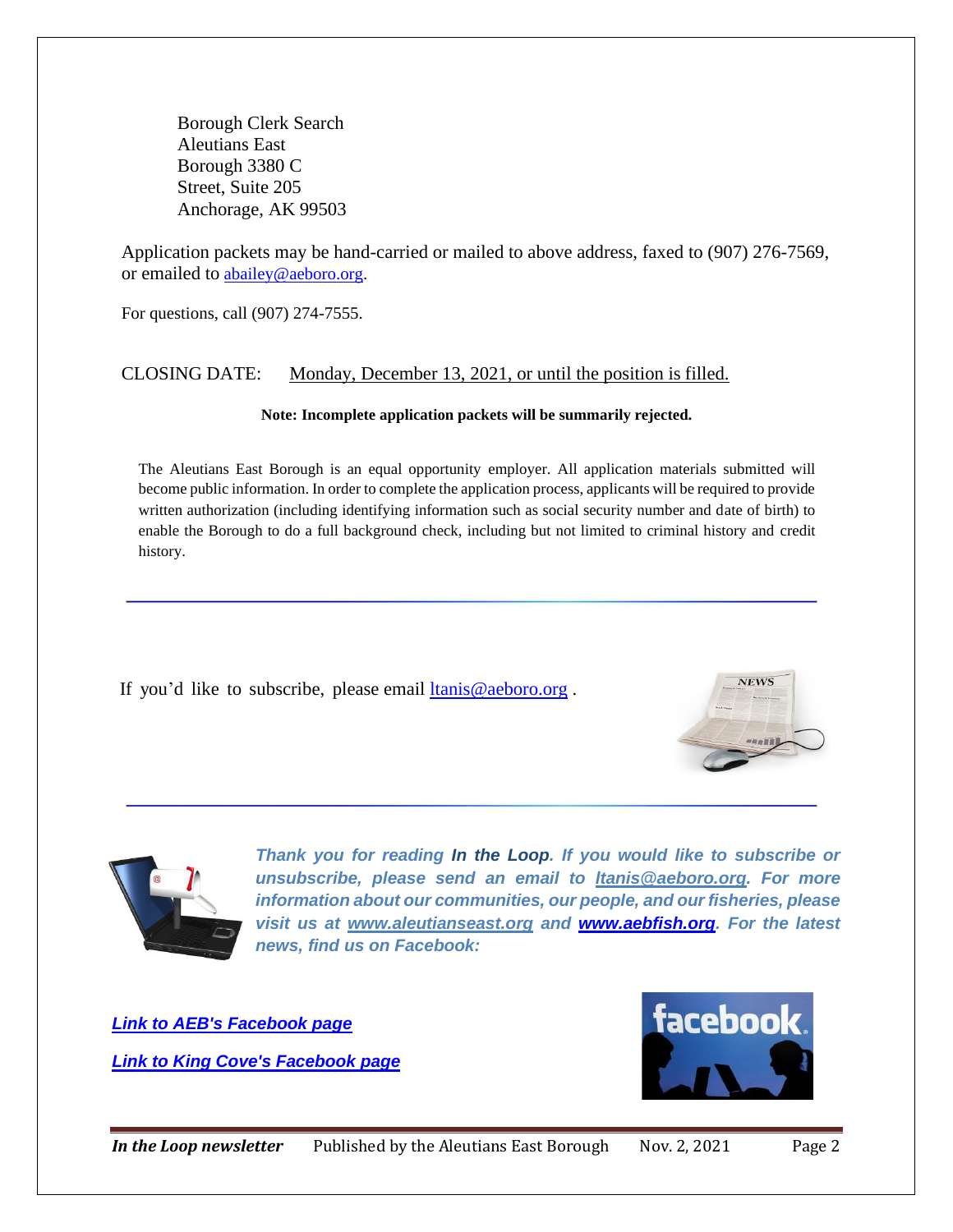Borough Clerk Search Aleutians East Borough 3380 C Street, Suite 205 Anchorage, AK 99503

Application packets may be hand-carried or mailed to above address, faxed to (907) 276-7569, or emailed to [abailey@aeboro.org.](mailto:abailey@aeboro.org)

For questions, call (907) 274-7555.

### CLOSING DATE: Monday, December 13, 2021, or until the position is filled.

#### **Note: Incomplete application packets will be summarily rejected.**

The Aleutians East Borough is an equal opportunity employer. All application materials submitted will become public information. In order to complete the application process, applicants will be required to provide written authorization (including identifying information such as social security number and date of birth) to enable the Borough to do a full background check, including but not limited to criminal history and credit history.

If you'd like to subscribe, please email [ltanis@aeboro.org](mailto:ltanis@aeboro.org) .





*Thank you for reading In the Loop. If you would like to subscribe or unsubscribe, please send an email to [ltanis@aeboro.org.](mailto:ltanis@aeboro.org) For more information about our communities, our people, and our fisheries, please visit us at [www.aleutianseast.org](http://www.aleutianseast.org/) and [www.aebfish.org.](http://www.aebfish.org/) For the latest news, find us on Facebook:* 

*[Link to AEB's Facebook page](https://www.facebook.com/AleutiansEastBorough?ref=hl)  [Link to King Cove's Facebook page](https://www.facebook.com/kingcoveAK?ref=hl)*